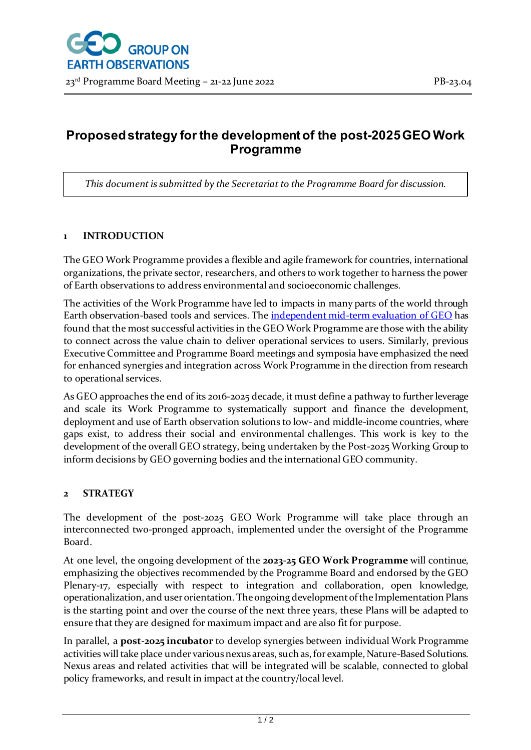# **Proposed strategy for the development of the post-2025 GEO Work Programme**

*This document is submitted by the Secretariat to the Programme Board for discussion.*

## **1 INTRODUCTION**

The GEO Work Programme provides a flexible and agile framework for countries, international organizations, the private sector, researchers, and others to work together to harness the power of Earth observations to address environmental and socioeconomic challenges.

The activities of the Work Programme have led to impacts in many parts of the world through Earth observation-based tools and services. The *independent mid-term evaluation of GEO* has found that the most successful activities in the GEO Work Programme are those with the ability to connect across the value chain to deliver operational services to users. Similarly, previous Executive Committee and Programme Board meetings and symposia have emphasized the need for enhanced synergies and integration across Work Programme in the direction from research to operational services.

As GEO approaches the end of its 2016-2025 decade, it must define a pathway to further leverage and scale its Work Programme to systematically support and finance the development, deployment and use of Earth observation solutions to low- and middle-income countries, where gaps exist, to address their social and environmental challenges. This work is key to the development of the overall GEO strategy, being undertaken by the Post-2025 Working Group to inform decisions by GEO governing bodies and the international GEO community.

### **2 STRATEGY**

The development of the post-2025 GEO Work Programme will take place through an interconnected two-pronged approach, implemented under the oversight of the Programme Board.

At one level, the ongoing development of the **2023-25 GEO Work Programme** will continue, emphasizing the objectives recommended by the Programme Board and endorsed by the GEO Plenary-17, especially with respect to integration and collaboration, open knowledge, operationalization, and user orientation. The ongoing development of the Implementation Plans is the starting point and over the course of the next three years, these Plans will be adapted to ensure that they are designed for maximum impact and are also fit for purpose.

In parallel, a **post-2025 incubator** to develop synergies between individual Work Programme activities will take place under various nexus areas, such as, for example, Nature-Based Solutions. Nexus areas and related activities that will be integrated will be scalable, connected to global policy frameworks, and result in impact at the country/local level.